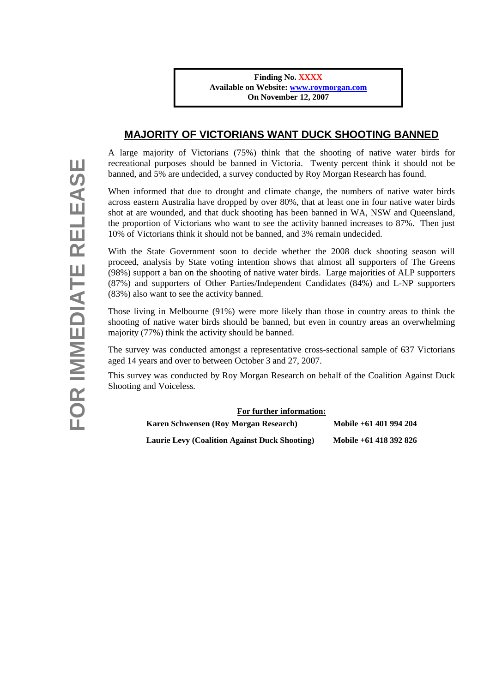## **MAJORITY OF VICTORIANS WANT DUCK SHOOTING BANNED**

A large majority of Victorians (75%) think that the shooting of native water birds for recreational purposes should be banned in Victoria. Twenty percent think it should not be banned, and 5% are undecided, a survey conducted by Roy Morgan Research has found.

When informed that due to drought and climate change, the numbers of native water birds across eastern Australia have dropped by over 80%, that at least one in four native water birds shot at are wounded, and that duck shooting has been banned in WA, NSW and Queensland, the proportion of Victorians who want to see the activity banned increases to 87%. Then just 10% of Victorians think it should not be banned, and 3% remain undecided.

With the State Government soon to decide whether the 2008 duck shooting season will proceed, analysis by State voting intention shows that almost all supporters of The Greens (98%) support a ban on the shooting of native water birds. Large majorities of ALP supporters (87%) and supporters of Other Parties/Independent Candidates (84%) and L-NP supporters (83%) also want to see the activity banned.

Those living in Melbourne (91%) were more likely than those in country areas to think the shooting of native water birds should be banned, but even in country areas an overwhelming majority (77%) think the activity should be banned.

The survey was conducted amongst a representative cross-sectional sample of 637 Victorians aged 14 years and over to between October 3 and 27, 2007.

This survey was conducted by Roy Morgan Research on behalf of the Coalition Against Duck Shooting and Voiceless*.*

## **For further information:**

| Karen Schwensen (Roy Morgan Research)                | Mobile $+61$ 401 994 204 |
|------------------------------------------------------|--------------------------|
| <b>Laurie Levy (Coalition Against Duck Shooting)</b> | Mobile +61 418 392 826   |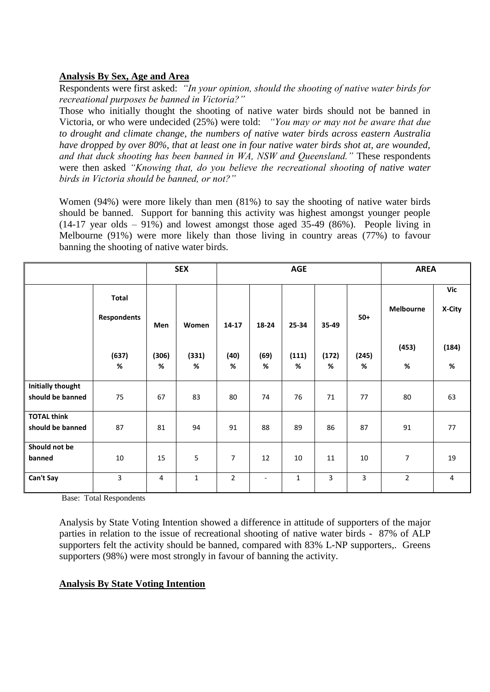## **Analysis By Sex, Age and Area**

Respondents were first asked: *"In your opinion, should the shooting of native water birds for recreational purposes be banned in Victoria?"*

Those who initially thought the shooting of native water birds should not be banned in Victoria, or who were undecided (25%) were told: *"You may or may not be aware that due to drought and climate change, the numbers of native water birds across eastern Australia have dropped by over 80%, that at least one in four native water birds shot at, are wounded, and that duck shooting has been banned in WA, NSW and Queensland."* These respondents were then asked *"Knowing that, do you believe the recreational shooting of native water birds in Victoria should be banned, or not?"*

Women (94%) were more likely than men (81%) to say the shooting of native water birds should be banned. Support for banning this activity was highest amongst younger people (14-17 year olds – 91%) and lowest amongst those aged 35-49 (86%). People living in Melbourne (91%) were more likely than those living in country areas (77%) to favour banning the shooting of native water birds.

|                                              |                                    |            | <b>SEX</b>   | <b>AGE</b>     |                          |              |            | <b>AREA</b> |                  |                |
|----------------------------------------------|------------------------------------|------------|--------------|----------------|--------------------------|--------------|------------|-------------|------------------|----------------|
|                                              | <b>Total</b><br><b>Respondents</b> | Men        | Women        | 14-17          | 18-24                    | 25-34        | 35-49      | $50+$       | <b>Melbourne</b> | Vic<br>X-City  |
|                                              | (637)<br>$\%$                      | (306)<br>% | (331)<br>%   | (40)<br>%      | (69)<br>%                | (111)<br>%   | (172)<br>% | (245)<br>%  | (453)<br>%       | (184)<br>$\%$  |
| <b>Initially thought</b><br>should be banned | 75                                 | 67         | 83           | 80             | 74                       | 76           | 71         | 77          | 80               | 63             |
| <b>TOTAL think</b><br>should be banned       | 87                                 | 81         | 94           | 91             | 88                       | 89           | 86         | 87          | 91               | 77             |
| Should not be<br>banned                      | 10                                 | 15         | 5            | 7              | 12                       | 10           | 11         | 10          | 7                | 19             |
| Can't Say                                    | 3                                  | 4          | $\mathbf{1}$ | $\overline{2}$ | $\overline{\phantom{a}}$ | $\mathbf{1}$ | 3          | 3           | $\overline{2}$   | $\overline{4}$ |

Base: Total Respondents

Analysis by State Voting Intention showed a difference in attitude of supporters of the major parties in relation to the issue of recreational shooting of native water birds - 87% of ALP supporters felt the activity should be banned, compared with 83% L-NP supporters,. Greens supporters (98%) were most strongly in favour of banning the activity.

## **Analysis By State Voting Intention**